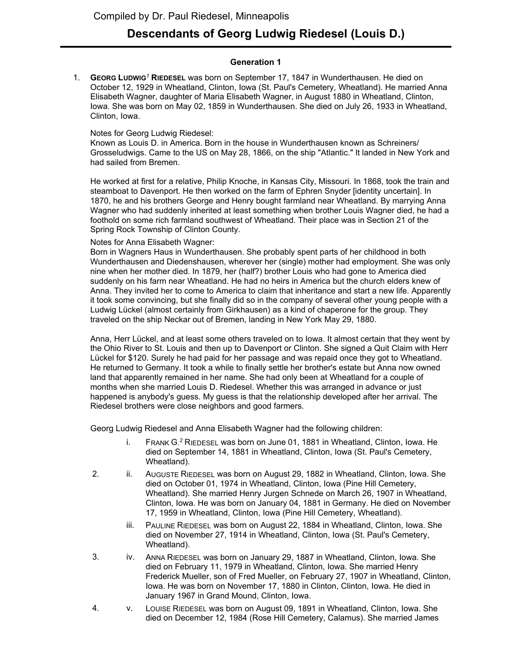# **Descendants of Georg Ludwig Riedesel (Louis D.)**

### **Generation 1**

1. **GEORG LUDWIG***<sup>1</sup>* **RIEDESEL** was born on September 17, 1847 in Wunderthausen. He died on October 12, 1929 in Wheatland, Clinton, Iowa (St. Paul's Cemetery, Wheatland). He married Anna Elisabeth Wagner, daughter of Maria Elisabeth Wagner, in August 1880 in Wheatland, Clinton, Iowa. She was born on May 02, 1859 in Wunderthausen. She died on July 26, 1933 in Wheatland, Clinton, Iowa.

### Notes for Georg Ludwig Riedesel:

Known as Louis D. in America. Born in the house in Wunderthausen known as Schreiners/ Grosseludwigs. Came to the US on May 28, 1866, on the ship "Atlantic." It landed in New York and had sailed from Bremen.

He worked at first for a relative, Philip Knoche, in Kansas City, Missouri. In 1868, took the train and steamboat to Davenport. He then worked on the farm of Ephren Snyder [identity uncertain]. In 1870, he and his brothers George and Henry bought farmland near Wheatland. By marrying Anna Wagner who had suddenly inherited at least something when brother Louis Wagner died, he had a foothold on some rich farmland southwest of Wheatland. Their place was in Section 21 of the Spring Rock Township of Clinton County.

# Notes for Anna Elisabeth Wagner:

Born in Wagners Haus in Wunderthausen. She probably spent parts of her childhood in both Wunderthausen and Diedenshausen, wherever her (single) mother had employment. She was only nine when her mother died. In 1879, her (half?) brother Louis who had gone to America died suddenly on his farm near Wheatland. He had no heirs in America but the church elders knew of Anna. They invited her to come to America to claim that inheritance and start a new life. Apparently it took some convincing, but she finally did so in the company of several other young people with a Ludwig Lückel (almost certainly from Girkhausen) as a kind of chaperone for the group. They traveled on the ship Neckar out of Bremen, landing in New York May 29, 1880.

Anna, Herr Lückel, and at least some others traveled on to Iowa. It almost certain that they went by the Ohio River to St. Louis and then up to Davenport or Clinton. She signed a Quit Claim with Herr Lückel for \$120. Surely he had paid for her passage and was repaid once they got to Wheatland. He returned to Germany. It took a while to finally settle her brother's estate but Anna now owned land that apparently remained in her name. She had only been at Wheatland for a couple of months when she married Louis D. Riedesel. Whether this was arranged in advance or just happened is anybody's guess. My guess is that the relationship developed after her arrival. The Riedesel brothers were close neighbors and good farmers.

Georg Ludwig Riedesel and Anna Elisabeth Wagner had the following children:

- i. FRANK G. *<sup>2</sup>* RIEDESEL was born on June 01, 1881 in Wheatland, Clinton, Iowa. He died on September 14, 1881 in Wheatland, Clinton, Iowa (St. Paul's Cemetery, Wheatland).
- 2. ii. AUGUSTE RIEDESEL was born on August 29, 1882 in Wheatland, Clinton, Iowa. She died on October 01, 1974 in Wheatland, Clinton, Iowa (Pine Hill Cemetery, Wheatland). She married Henry Jurgen Schnede on March 26, 1907 in Wheatland, Clinton, Iowa. He was born on January 04, 1881 in Germany. He died on November 17, 1959 in Wheatland, Clinton, Iowa (Pine Hill Cemetery, Wheatland).
	- iii. PAULINE RIEDESEL was born on August 22, 1884 in Wheatland, Clinton, Iowa. She died on November 27, 1914 in Wheatland, Clinton, Iowa (St. Paul's Cemetery, Wheatland).
- 3. iv. ANNA RIEDESEL was born on January 29, 1887 in Wheatland, Clinton, Iowa. She died on February 11, 1979 in Wheatland, Clinton, Iowa. She married Henry Frederick Mueller, son of Fred Mueller, on February 27, 1907 in Wheatland, Clinton, Iowa. He was born on November 17, 1880 in Clinton, Clinton, Iowa. He died in January 1967 in Grand Mound, Clinton, Iowa.
- 4. v. LOUISE RIEDESEL was born on August 09, 1891 in Wheatland, Clinton, Iowa. She died on December 12, 1984 (Rose Hill Cemetery, Calamus). She married James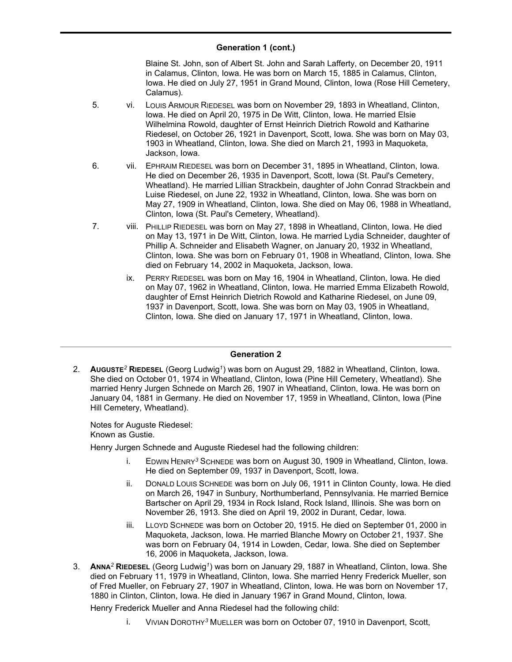#### **Generation 1 (cont.)**  $\frac{1}{2}$

Blaine St. John, son of Albert St. John and Sarah Lafferty, on December 20, 1911 in Calamus, Clinton, Iowa. He was born on March 15, 1885 in Calamus, Clinton, Iowa. He died on July 27, 1951 in Grand Mound, Clinton, Iowa (Rose Hill Cemetery, Calamus).

- 5. vi. LOUIS ARMOUR RIEDESEL was born on November 29, 1893 in Wheatland, Clinton, Iowa. He died on April 20, 1975 in De Witt, Clinton, Iowa. He married Elsie Wilhelmina Rowold, daughter of Ernst Heinrich Dietrich Rowold and Katharine Riedesel, on October 26, 1921 in Davenport, Scott, Iowa. She was born on May 03, 1903 in Wheatland, Clinton, Iowa. She died on March 21, 1993 in Maquoketa, Jackson, Iowa.
- 6. vii. EPHRAIM RIEDESEL was born on December 31, 1895 in Wheatland, Clinton, Iowa. He died on December 26, 1935 in Davenport, Scott, Iowa (St. Paul's Cemetery, Wheatland). He married Lillian Strackbein, daughter of John Conrad Strackbein and Luise Riedesel, on June 22, 1932 in Wheatland, Clinton, Iowa. She was born on May 27, 1909 in Wheatland, Clinton, Iowa. She died on May 06, 1988 in Wheatland, Clinton, Iowa (St. Paul's Cemetery, Wheatland).
- 7. viii. PHILLIP RIEDESEL was born on May 27, 1898 in Wheatland, Clinton, Iowa. He died on May 13, 1971 in De Witt, Clinton, Iowa. He married Lydia Schneider, daughter of Phillip A. Schneider and Elisabeth Wagner, on January 20, 1932 in Wheatland, Clinton, Iowa. She was born on February 01, 1908 in Wheatland, Clinton, Iowa. She died on February 14, 2002 in Maquoketa, Jackson, Iowa.
	- ix. PERRY RIEDESEL was born on May 16, 1904 in Wheatland, Clinton, Iowa. He died on May 07, 1962 in Wheatland, Clinton, Iowa. He married Emma Elizabeth Rowold, daughter of Ernst Heinrich Dietrich Rowold and Katharine Riedesel, on June 09, 1937 in Davenport, Scott, Iowa. She was born on May 03, 1905 in Wheatland, Clinton, Iowa. She died on January 17, 1971 in Wheatland, Clinton, Iowa.

### **Generation 2**

2. **AUGUSTE***<sup>2</sup>* **RIEDESEL** (Georg Ludwig*<sup>1</sup>* ) was born on August 29, 1882 in Wheatland, Clinton, Iowa. She died on October 01, 1974 in Wheatland, Clinton, Iowa (Pine Hill Cemetery, Wheatland). She married Henry Jurgen Schnede on March 26, 1907 in Wheatland, Clinton, Iowa. He was born on January 04, 1881 in Germany. He died on November 17, 1959 in Wheatland, Clinton, Iowa (Pine Hill Cemetery, Wheatland).

Notes for Auguste Riedesel: Known as Gustie.

Henry Jurgen Schnede and Auguste Riedesel had the following children:

- i. EDWIN HENRY*<sup>3</sup>* SCHNEDE was born on August 30, 1909 in Wheatland, Clinton, Iowa. He died on September 09, 1937 in Davenport, Scott, Iowa.
- ii. DONALD LOUIS SCHNEDE was born on July 06, 1911 in Clinton County, Iowa. He died on March 26, 1947 in Sunbury, Northumberland, Pennsylvania. He married Bernice Bartscher on April 29, 1934 in Rock Island, Rock Island, Illinois. She was born on November 26, 1913. She died on April 19, 2002 in Durant, Cedar, Iowa.
- iii. LLOYD SCHNEDE was born on October 20, 1915. He died on September 01, 2000 in Maquoketa, Jackson, Iowa. He married Blanche Mowry on October 21, 1937. She was born on February 04, 1914 in Lowden, Cedar, Iowa. She died on September 16, 2006 in Maquoketa, Jackson, Iowa.
- 3. **ANNA***<sup>2</sup>* **RIEDESEL** (Georg Ludwig*<sup>1</sup>* ) was born on January 29, 1887 in Wheatland, Clinton, Iowa. She died on February 11, 1979 in Wheatland, Clinton, Iowa. She married Henry Frederick Mueller, son of Fred Mueller, on February 27, 1907 in Wheatland, Clinton, Iowa. He was born on November 17, 1880 in Clinton, Clinton, Iowa. He died in January 1967 in Grand Mound, Clinton, Iowa.

Henry Frederick Mueller and Anna Riedesel had the following child:

i. VIVIAN DOROTHY*<sup>3</sup>* MUELLER was born on October 07, 1910 in Davenport, Scott,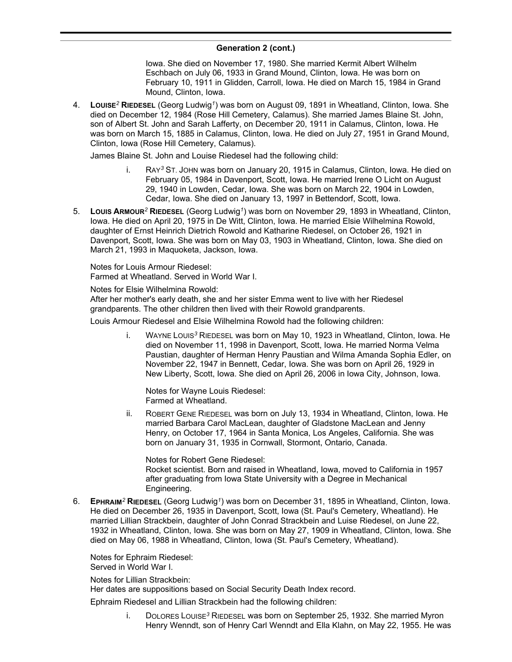# **Generation 2 (cont.)**

Iowa. She died on November 17, 1980. She married Kermit Albert Wilhelm Eschbach on July 06, 1933 in Grand Mound, Clinton, Iowa. He was born on February 10, 1911 in Glidden, Carroll, Iowa. He died on March 15, 1984 in Grand Mound, Clinton, Iowa.

4. **LOUISE***<sup>2</sup>* **RIEDESEL** (Georg Ludwig*<sup>1</sup>* ) was born on August 09, 1891 in Wheatland, Clinton, Iowa. She died on December 12, 1984 (Rose Hill Cemetery, Calamus). She married James Blaine St. John, son of Albert St. John and Sarah Lafferty, on December 20, 1911 in Calamus, Clinton, Iowa. He was born on March 15, 1885 in Calamus, Clinton, Iowa. He died on July 27, 1951 in Grand Mound, Clinton, Iowa (Rose Hill Cemetery, Calamus).

James Blaine St. John and Louise Riedesel had the following child:

- RAY<sup>3</sup> ST. JOHN was born on January 20, 1915 in Calamus, Clinton, Iowa. He died on February 05, 1984 in Davenport, Scott, Iowa. He married Irene O Licht on August 29, 1940 in Lowden, Cedar, Iowa. She was born on March 22, 1904 in Lowden, Cedar, Iowa. She died on January 13, 1997 in Bettendorf, Scott, Iowa.
- 5. **LOUIS ARMOUR***<sup>2</sup>* **RIEDESEL** (Georg Ludwig*<sup>1</sup>* ) was born on November 29, 1893 in Wheatland, Clinton, Iowa. He died on April 20, 1975 in De Witt, Clinton, Iowa. He married Elsie Wilhelmina Rowold, daughter of Ernst Heinrich Dietrich Rowold and Katharine Riedesel, on October 26, 1921 in Davenport, Scott, Iowa. She was born on May 03, 1903 in Wheatland, Clinton, Iowa. She died on March 21, 1993 in Maquoketa, Jackson, Iowa.

Notes for Louis Armour Riedesel: Farmed at Wheatland. Served in World War I.

Notes for Elsie Wilhelmina Rowold: After her mother's early death, she and her sister Emma went to live with her Riedesel grandparents. The other children then lived with their Rowold grandparents.

Louis Armour Riedesel and Elsie Wilhelmina Rowold had the following children:

i. WAYNE LOUIS*<sup>3</sup>* RIEDESEL was born on May 10, 1923 in Wheatland, Clinton, Iowa. He died on November 11, 1998 in Davenport, Scott, Iowa. He married Norma Velma Paustian, daughter of Herman Henry Paustian and Wilma Amanda Sophia Edler, on November 22, 1947 in Bennett, Cedar, Iowa. She was born on April 26, 1929 in New Liberty, Scott, Iowa. She died on April 26, 2006 in Iowa City, Johnson, Iowa.

Notes for Wayne Louis Riedesel: Farmed at Wheatland.

ii. ROBERT GENE RIEDESEL was born on July 13, 1934 in Wheatland, Clinton, Iowa. He married Barbara Carol MacLean, daughter of Gladstone MacLean and Jenny Henry, on October 17, 1964 in Santa Monica, Los Angeles, California. She was born on January 31, 1935 in Cornwall, Stormont, Ontario, Canada.

Notes for Robert Gene Riedesel: Rocket scientist. Born and raised in Wheatland, Iowa, moved to California in 1957 after graduating from Iowa State University with a Degree in Mechanical Engineering.

6. **EPHRAIM***<sup>2</sup>* **RIEDESEL** (Georg Ludwig*<sup>1</sup>* ) was born on December 31, 1895 in Wheatland, Clinton, Iowa. He died on December 26, 1935 in Davenport, Scott, Iowa (St. Paul's Cemetery, Wheatland). He married Lillian Strackbein, daughter of John Conrad Strackbein and Luise Riedesel, on June 22, 1932 in Wheatland, Clinton, Iowa. She was born on May 27, 1909 in Wheatland, Clinton, Iowa. She died on May 06, 1988 in Wheatland, Clinton, Iowa (St. Paul's Cemetery, Wheatland).

Notes for Ephraim Riedesel: Served in World War I.

Notes for Lillian Strackbein:

Her dates are suppositions based on Social Security Death Index record.

Ephraim Riedesel and Lillian Strackbein had the following children:

i. DOLORES LOUISE*<sup>3</sup>* RIEDESEL was born on September 25, 1932. She married Myron Henry Wenndt, son of Henry Carl Wenndt and Ella Klahn, on May 22, 1955. He was